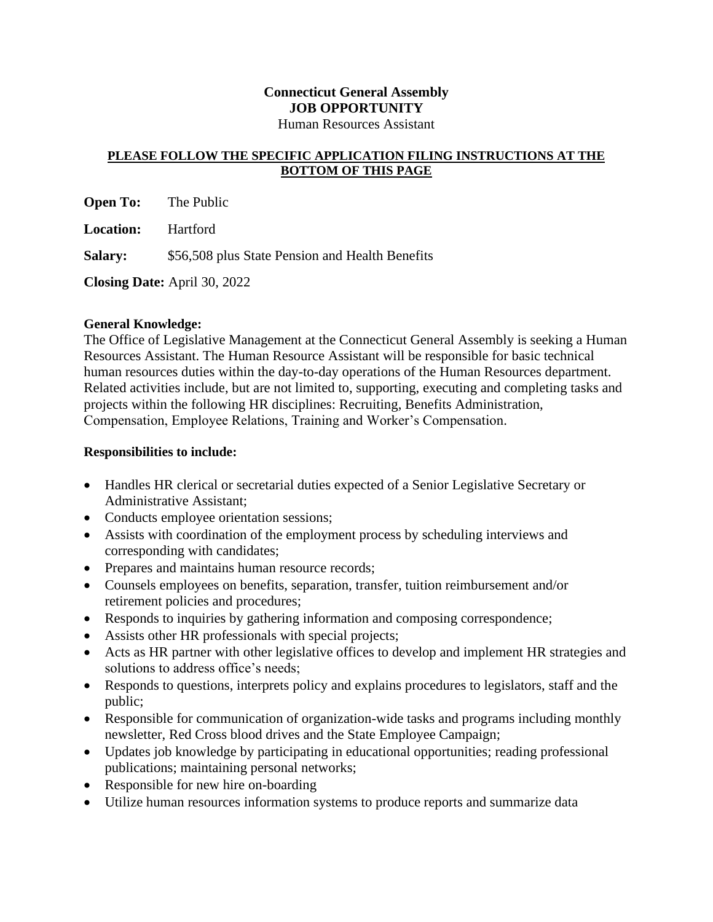# **Connecticut General Assembly JOB OPPORTUNITY**

## Human Resources Assistant

#### **PLEASE FOLLOW THE SPECIFIC APPLICATION FILING INSTRUCTIONS AT THE BOTTOM OF THIS PAGE**

**Open To:** The Public

**Location:** Hartford

**Salary:** \$56,508 plus State Pension and Health Benefits

**Closing Date:** April 30, 2022

## **General Knowledge:**

The Office of Legislative Management at the Connecticut General Assembly is seeking a Human Resources Assistant. The Human Resource Assistant will be responsible for basic technical human resources duties within the day-to-day operations of the Human Resources department. Related activities include, but are not limited to, supporting, executing and completing tasks and projects within the following HR disciplines: Recruiting, Benefits Administration, Compensation, Employee Relations, Training and Worker's Compensation.

## **Responsibilities to include:**

- Handles HR clerical or secretarial duties expected of a Senior Legislative Secretary or Administrative Assistant;
- Conducts employee orientation sessions;
- Assists with coordination of the employment process by scheduling interviews and corresponding with candidates;
- Prepares and maintains human resource records;
- Counsels employees on benefits, separation, transfer, tuition reimbursement and/or retirement policies and procedures;
- Responds to inquiries by gathering information and composing correspondence;
- Assists other HR professionals with special projects;
- Acts as HR partner with other legislative offices to develop and implement HR strategies and solutions to address office's needs;
- Responds to questions, interprets policy and explains procedures to legislators, staff and the public;
- Responsible for communication of organization-wide tasks and programs including monthly newsletter, Red Cross blood drives and the State Employee Campaign;
- Updates job knowledge by participating in educational opportunities; reading professional publications; maintaining personal networks;
- Responsible for new hire on-boarding
- Utilize human resources information systems to produce reports and summarize data